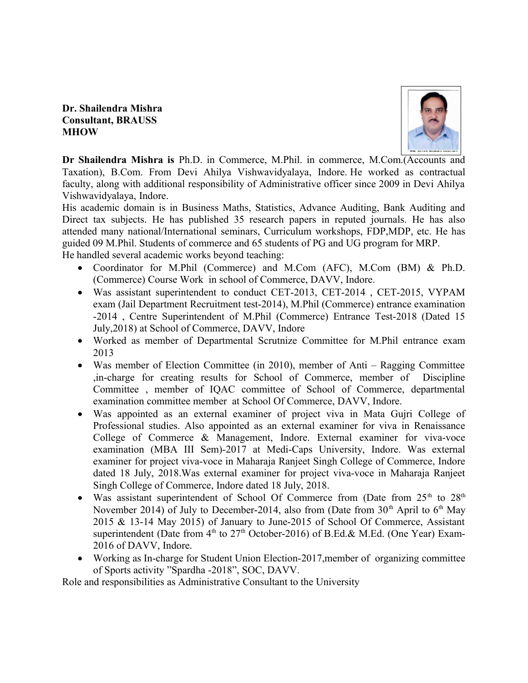## **Dr. Shailendra Mishra Consultant, BRAUSS MHOW**



**Dr Shailendra Mishra is** Ph.D. in Commerce, M.Phil. in commerce, M.Com.(Accounts and Taxation), B.Com. From Devi Ahilya Vishwavidyalaya, Indore. He worked as contractual faculty, along with additional responsibility of Administrative officer since 2009 in Devi Ahilya Vishwavidyalaya, Indore.

His academic domain is in Business Maths, Statistics, Advance Auditing, Bank Auditing and Direct tax subjects. He has published 35 research papers in reputed journals. He has also attended many national/International seminars, Curriculum workshops, FDP,MDP, etc. He has guided 09 M.Phil. Students of commerce and 65 students of PG and UG program for MRP. He handled several academic works beyond teaching:

- Coordinator for M.Phil (Commerce) and M.Com (AFC), M.Com (BM) & Ph.D. (Commerce) Course Work in school of Commerce, DAVV, Indore.
- Was assistant superintendent to conduct CET-2013, CET-2014 , CET-2015, VYPAM exam (Jail Department Recruitment test-2014), M.Phil (Commerce) entrance examination -2014 , Centre Superintendent of M.Phil (Commerce) Entrance Test-2018 (Dated 15 July,2018) at School of Commerce, DAVV, Indore
- Worked as member of Departmental Scrutnize Committee for M.Phil entrance exam 2013
- Was member of Election Committee (in 2010), member of Anti Ragging Committee ,in-charge for creating results for School of Commerce, member of Discipline Committee , member of IQAC committee of School of Commerce, departmental examination committee member at School Of Commerce, DAVV, Indore.
- Was appointed as an external examiner of project viva in Mata Gujri College of Professional studies. Also appointed as an external examiner for viva in Renaissance College of Commerce & Management, Indore. External examiner for viva-voce examination (MBA III Sem)-2017 at Medi-Caps University, Indore. Was external examiner for project viva-voce in Maharaja Ranjeet Singh College of Commerce, Indore dated 18 July, 2018.Was external examiner for project viva-voce in Maharaja Ranjeet Singh College of Commerce, Indore dated 18 July, 2018.
- Was assistant superintendent of School Of Commerce from (Date from  $25<sup>th</sup>$  to  $28<sup>th</sup>$ November 2014) of July to December-2014, also from (Date from  $30<sup>th</sup>$  April to  $6<sup>th</sup>$  May 2015 & 13-14 May 2015) of January to June-2015 of School Of Commerce, Assistant superintendent (Date from  $4<sup>th</sup>$  to  $27<sup>th</sup>$  October-2016) of B.Ed.& M.Ed. (One Year) Exam-2016 of DAVV, Indore.
- Working as In-charge for Student Union Election-2017,member of organizing committee of Sports activity "Spardha -2018", SOC, DAVV.

Role and responsibilities as Administrative Consultant to the University